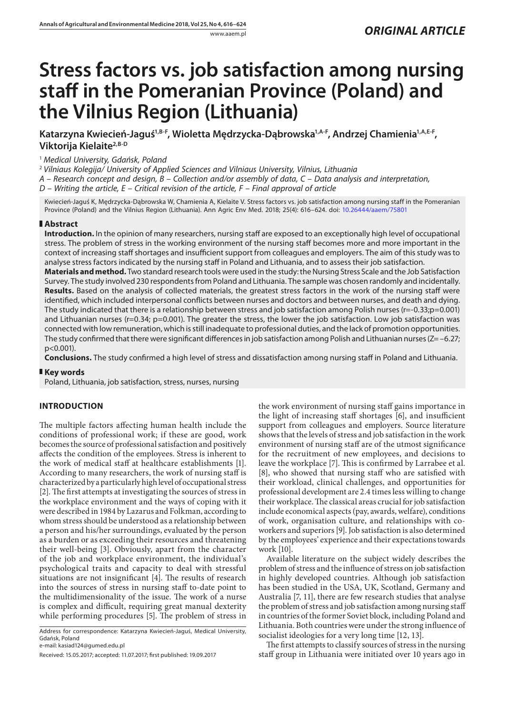# **Stress factors vs. job satisfaction among nursing staff in the Pomeranian Province (Poland) and the Vilnius Region (Lithuania)**

Katarzyna Kwiecień-Jaguś<sup>1,B-F</sup>, Wioletta Mędrzycka-Dąbrowska<sup>1,A-F</sup>, Andrzej Chamienia<sup>1,A,E-F</sup>, **Viktorija Kielaite2,B-D**

# <sup>1</sup> *Medical University, Gdańsk, Poland*

<sup>2</sup> *Vilniaus Kolegija/ University of Applied Sciences and Vilniaus University, Vilnius, Lithuania*

*A – Research concept and design, B – Collection and/or assembly of data, C – Data analysis and interpretation,* 

*D – Writing the article, E – Critical revision of the article, F – Final approval of article*

Kwiecień-Jaguś K, Mędrzycka-Dąbrowska W, Chamienia A, Kielaite V. Stress factors vs. job satisfaction among nursing staff in the Pomeranian Province (Poland) and the Vilnius Region (Lithuania). Ann Agric Env Med. 2018; 25(4): 616–624. doi: <10.26444/aaem/75801>

# **Abstract**

**Introduction.** In the opinion of many researchers, nursing staff are exposed to an exceptionally high level of occupational stress. The problem of stress in the working environment of the nursing staff becomes more and more important in the context of increasing staff shortages and insufficient support from colleagues and employers. The aim of this study was to analyse stress factors indicated by the nursing staff in Poland and Lithuania, and to assess their job satisfaction.

**Materials and method.** Two standard research tools were used in the study: the Nursing Stress Scale and the Job Satisfaction Survey. The study involved 230 respondents from Poland and Lithuania. The sample was chosen randomly and incidentally. **Results.** Based on the analysis of collected materials, the greatest stress factors in the work of the nursing staff were identified, which included interpersonal conflicts between nurses and doctors and between nurses, and death and dying. The study indicated that there is a relationship between stress and job satisfaction among Polish nurses ( $r=-0.33; p=0.001$ ) and Lithuanian nurses (r=0.34; p=0.001). The greater the stress, the lower the job satisfaction. Low job satisfaction was connected with low remuneration, which is still inadequate to professional duties, and the lack of promotion opportunities. The study confirmed that there were significant differences in job satisfaction among Polish and Lithuanian nurses (Z= –6.27; p<0.001).

**Conclusions.** The study confirmed a high level of stress and dissatisfaction among nursing staff in Poland and Lithuania.

## **Key words**

Poland, Lithuania, job satisfaction, stress, nurses, nursing

# **INTRODUCTION**

The multiple factors affecting human health include the conditions of professional work; if these are good, work becomes the source of professional satisfaction and positively affects the condition of the employees. Stress is inherent to the work of medical staff at healthcare establishments [1]. According to many researchers, the work of nursing staff is characterized by a particularly high level of occupational stress [2]. The first attempts at investigating the sources of stress in the workplace environment and the ways of coping with it were described in 1984 by Lazarus and Folkman, according to whom stress should be understood as a relationship between a person and his/her surroundings, evaluated by the person as a burden or as exceeding their resources and threatening their well-being [3]. Obviously, apart from the character of the job and workplace environment, the individual's psychological traits and capacity to deal with stressful situations are not insignificant [4]. The results of research into the sources of stress in nursing staff to-date point to the multidimensionality of the issue. The work of a nurse is complex and difficult, requiring great manual dexterity while performing procedures [5]. The problem of stress in

Address for correspondence: Katarzyna Kwiecień-Jaguś, Medical University, Gdańsk, Poland

the work environment of nursing staff gains importance in the light of increasing staff shortages [6], and insufficient support from colleagues and employers. Source literature shows that the levels of stress and job satisfaction in the work environment of nursing staff are of the utmost significance for the recruitment of new employees, and decisions to leave the workplace [7]. This is confirmed by Larrabee et al. [8], who showed that nursing staff who are satisfied with their workload, clinical challenges, and opportunities for professional development are 2.4 times less willing to change their workplace. The classical areas crucial for job satisfaction include economical aspects (pay, awards, welfare), conditions of work, organisation culture, and relationships with coworkers and superiors [9]. Job satisfaction is also determined by the employees' experience and their expectations towards work [10].

Available literature on the subject widely describes the problem of stress and the influence of stress on job satisfaction in highly developed countries. Although job satisfaction has been studied in the USA, UK, Scotland, Germany and Australia [7, 11], there are few research studies that analyse the problem of stress and job satisfaction among nursing staff in countries of the former Soviet block, including Poland and Lithuania. Both countries were under the strong influence of socialist ideologies for a very long time [12, 13].

The first attempts to classify sources of stress in the nursing staff group in Lithuania were initiated over 10 years ago in

e-mail: kasiad124@gumed.edu.pl

Received: 15.05.2017; accepted: 11.07.2017; first published: 19.09.2017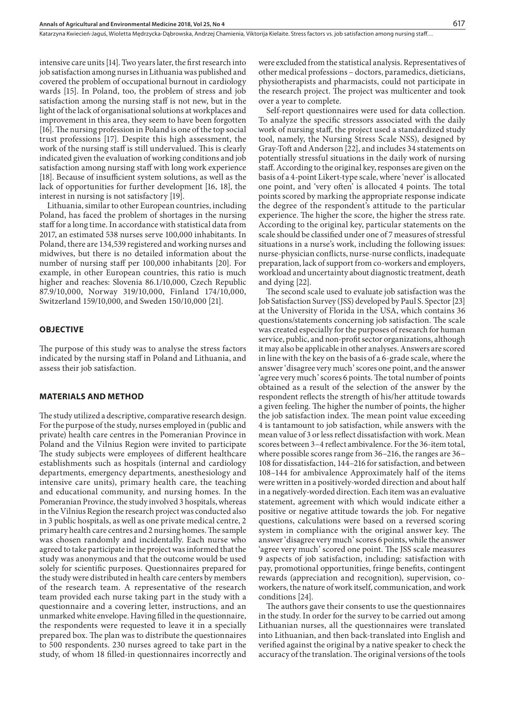Katarzyna Kwiecień-Jaguś, Wioletta Medrzycka-Dabrowska, Andrzej Chamienia, Viktorija Kielaite. Stress factors vs. job satisfaction among nursing staff...

intensive care units [14]. Two years later, the first research into job satisfaction among nurses in Lithuania was published and covered the problem of occupational burnout in cardiology wards [15]. In Poland, too, the problem of stress and job satisfaction among the nursing staff is not new, but in the light of the lack of organisational solutions at workplaces and improvement in this area, they seem to have been forgotten [16]. The nursing profession in Poland is one of the top social trust professions [17]. Despite this high assessment, the work of the nursing staff is still undervalued. This is clearly indicated given the evaluation of working conditions and job satisfaction among nursing staff with long work experience [18]. Because of insufficient system solutions, as well as the lack of opportunities for further development [16, 18], the interest in nursing is not satisfactory [19].

Lithuania, similar to other European countries, including Poland, has faced the problem of shortages in the nursing staff for a long time. In accordance with statistical data from 2017, an estimated 538 nurses serve 100,000 inhabitants. In Poland, there are 134,539 registered and working nurses and midwives, but there is no detailed information about the number of nursing staff per 100,000 inhabitants [20]. For example, in other European countries, this ratio is much higher and reaches: Slovenia 86.1/10,000, Czech Republic 87.9/10,000, Norway 319/10,000, Finland 174/10,000, Switzerland 159/10,000, and Sweden 150/10,000 [21].

# **OBJECTIVE**

The purpose of this study was to analyse the stress factors indicated by the nursing staff in Poland and Lithuania, and assess their job satisfaction.

#### **MATERIALS AND METHOD**

The study utilized a descriptive, comparative research design. For the purpose of the study, nurses employed in (public and private) health care centres in the Pomeranian Province in Poland and the Vilnius Region were invited to participate The study subjects were employees of different healthcare establishments such as hospitals (internal and cardiology departments, emergency departments, anesthesiology and intensive care units), primary health care, the teaching and educational community, and nursing homes. In the Pomeranian Province, the study involved 3 hospitals, whereas in the Vilnius Region the research project was conducted also in 3 public hospitals, as well as one private medical centre, 2 primary health care centres and 2 nursing homes. The sample was chosen randomly and incidentally. Each nurse who agreed to take participate in the project was informed that the study was anonymous and that the outcome would be used solely for scientific purposes. Questionnaires prepared for the study were distributed in health care centers by members of the research team. A representative of the research team provided each nurse taking part in the study with a questionnaire and a covering letter, instructions, and an unmarked white envelope. Having filled in the questionnaire, the respondents were requested to leave it in a specially prepared box. The plan was to distribute the questionnaires to 500 respondents. 230 nurses agreed to take part in the study, of whom 18 filled-in questionnaires incorrectly and

were excluded from the statistical analysis. Representatives of other medical professions – doctors, paramedics, dieticians, physiotherapists and pharmacists, could not participate in the research project. The project was multicenter and took over a year to complete.

Self-report questionnaires were used for data collection. To analyze the specific stressors associated with the daily work of nursing staff, the project used a standardized study tool, namely, the Nursing Stress Scale NSS), designed by Gray-Toft and Anderson [22], and includes 34 statements on potentially stressful situations in the daily work of nursing staff. According to the original key, responses are given on the basis of a 4-point Likert-type scale, where 'never' is allocated one point, and 'very often' is allocated 4 points. The total points scored by marking the appropriate response indicate the degree of the respondent's attitude to the particular experience. The higher the score, the higher the stress rate. According to the original key, particular statements on the scale should be classified under one of 7 measures of stressful situations in a nurse's work, including the following issues: nurse-physician conflicts, nurse-nurse conflicts, inadequate preparation, lack of support from co-workers and employers, workload and uncertainty about diagnostic treatment, death and dying [22].

The second scale used to evaluate job satisfaction was the Job Satisfaction Survey (JSS) developed by Paul S. Spector [23] at the University of Florida in the USA, which contains 36 questions/statements concerning job satisfaction. The scale was created especially for the purposes of research for human service, public, and non-profit sector organizations, although it may also be applicable in other analyses. Answers are scored in line with the key on the basis of a 6-grade scale, where the answer 'disagree very much' scores one point, and the answer 'agree very much' scores 6 points. The total number of points obtained as a result of the selection of the answer by the respondent reflects the strength of his/her attitude towards a given feeling. The higher the number of points, the higher the job satisfaction index. The mean point value exceeding 4 is tantamount to job satisfaction, while answers with the mean value of 3 or less reflect dissatisfaction with work. Mean scores between 3–4 reflect ambivalence. For the 36-item total, where possible scores range from 36–216, the ranges are 36– 108 for dissatisfaction, 144–216 for satisfaction, and between 108–144 for ambivalence Approximately half of the items were written in a positively-worded direction and about half in a negatively-worded direction. Each item was an evaluative statement, agreement with which would indicate either a positive or negative attitude towards the job. For negative questions, calculations were based on a reversed scoring system in compliance with the original answer key. The answer 'disagree very much' scores 6 points, while the answer 'agree very much' scored one point. The JSS scale measures 9 aspects of job satisfaction, including: satisfaction with pay, promotional opportunities, fringe benefits, contingent rewards (appreciation and recognition), supervision, coworkers, the nature of work itself, communication, and work conditions [24].

The authors gave their consents to use the questionnaires in the study. In order for the survey to be carried out among Lithuanian nurses, all the questionnaires were translated into Lithuanian, and then back-translated into English and verified against the original by a native speaker to check the accuracy of the translation. The original versions of the tools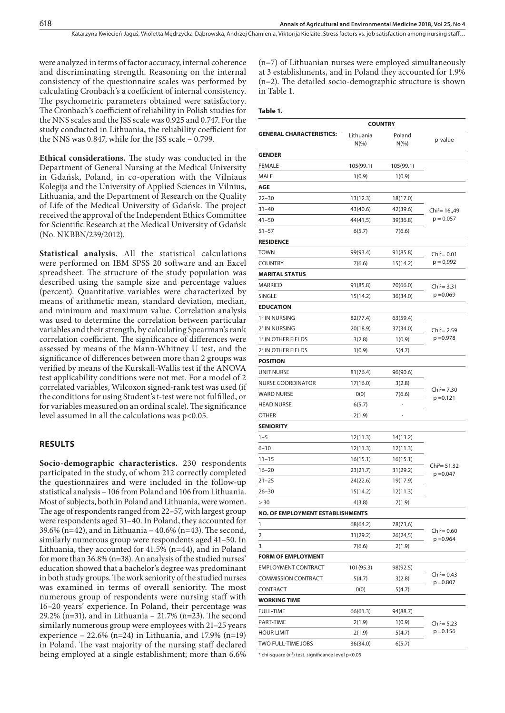were analyzed in terms of factor accuracy, internal coherence and discriminating strength. Reasoning on the internal consistency of the questionnaire scales was performed by calculating Cronbach's a coefficient of internal consistency. The psychometric parameters obtained were satisfactory. The Cronbach's coefficient of reliability in Polish studies for the NNS scales and the JSS scale was 0.925 and 0.747. For the study conducted in Lithuania, the reliability coefficient for the NNS was 0.847, while for the JSS scale – 0.799.

**Ethical considerations.** The study was conducted in the Department of General Nursing at the Medical University in Gdańsk, Poland, in co-operation with the Vilniaus Kolegija and the University of Applied Sciences in Vilnius, Lithuania, and the Department of Research on the Quality of Life of the Medical University of Gdańsk. The project received the approval of the Independent Ethics Committee for Scientific Research at the Medical University of Gdańsk (No. NKBBN/239/2012).

**Statistical analysis.** All the statistical calculations were performed on IBM SPSS 20 software and an Excel spreadsheet. The structure of the study population was described using the sample size and percentage values (percent). Quantitative variables were characterized by means of arithmetic mean, standard deviation, median, and minimum and maximum value. Correlation analysis was used to determine the correlation between particular variables and their strength, by calculating Spearman's rank correlation coefficient. The significance of differences were assessed by means of the Mann-Whitney U test, and the significance of differences between more than 2 groups was verified by means of the Kurskall-Wallis test if the ANOVA test applicability conditions were not met. For a model of 2 correlated variables, Wilcoxon signed-rank test was used (if the conditions for using Student's t-test were not fulfilled, or for variables measured on an ordinal scale). The significance level assumed in all the calculations was p<0.05.

## **RESULTS**

**Socio-demographic characteristics.** 230 respondents participated in the study, of whom 212 correctly completed the questionnaires and were included in the follow-up statistical analysis – 106 from Poland and 106 from Lithuania. Most of subjects, both in Poland and Lithuania, were women. The age of respondents ranged from 22–57, with largest group were respondents aged 31–40. In Poland, they accounted for 39.6% (n=42), and in Lithuania – 40.6% (n=43). The second, similarly numerous group were respondents aged 41–50. In Lithuania, they accounted for 41.5% (n=44), and in Poland for more than 36.8% (n=38). An analysis of the studied nurses' education showed that a bachelor's degree was predominant in both study groups. The work seniority of the studied nurses was examined in terms of overall seniority. The most numerous group of respondents were nursing staff with 16–20 years' experience. In Poland, their percentage was 29.2% (n=31), and in Lithuania – 21.7% (n=23). The second similarly numerous group were employees with 21–25 years experience – 22.6% (n=24) in Lithuania, and 17.9% (n=19) in Poland. The vast majority of the nursing staff declared being employed at a single establishment; more than 6.6%

(n=7) of Lithuanian nurses were employed simultaneously at 3 establishments, and in Poland they accounted for 1.9% (n=2). The detailed socio-demographic structure is shown in Table 1.

#### **Table 1.**

|                                         | <b>COUNTRY</b>        |                    |                                |  |
|-----------------------------------------|-----------------------|--------------------|--------------------------------|--|
| <b>GENERAL CHARACTERISTICS:</b>         | Lithuania<br>$N(\% )$ | Poland<br>$N(\% )$ | p-value                        |  |
| <b>GENDER</b>                           |                       |                    |                                |  |
| FEMALE                                  | 105(99.1)             | 105(99.1)          |                                |  |
| MALE                                    | 1(0.9)                | 1(0.9)             |                                |  |
| AGE                                     |                       |                    |                                |  |
| $22 - 30$                               | 13(12.3)              | 18(17.0)           |                                |  |
| $31 - 40$                               | 43(40.6)              | 42(39.6)           | $Chi^2 = 16,49$                |  |
| $41 - 50$                               | 44(41,5)              | 39(36.8)           | $p = 0.057$                    |  |
| $51 - 57$                               | 6(5.7)                | 7(6.6)             |                                |  |
| <b>RESIDENCE</b>                        |                       |                    |                                |  |
| <b>TOWN</b>                             | 99(93.4)              | 91(85.8)           | $Chi^2 = 0.01$                 |  |
| <b>COUNTRY</b>                          | 7(6.6)                | 15(14.2)           | $p = 0.992$                    |  |
| <b>MARITAL STATUS</b>                   |                       |                    |                                |  |
| <b>MARRIED</b>                          | 91(85.8)              | 70(66.0)           | $Chi^2 = 3.31$                 |  |
| SINGLE                                  | 15(14.2)              | 36(34.0)           | $p = 0.069$                    |  |
| <b>EDUCATION</b>                        |                       |                    |                                |  |
| 1° IN NURSING                           | 82(77.4)              | 63(59.4)           |                                |  |
| 2° IN NURSING                           | 20(18.9)              | 37(34.0)           | $Chi^2 = 2.59$                 |  |
| 1° IN OTHER FIELDS                      | 3(2.8)                | 1(0.9)             | $p = 0.978$                    |  |
| 2° IN OTHER FIELDS                      | 1(0.9)                | 5(4.7)             |                                |  |
| <b>POSITION</b>                         |                       |                    |                                |  |
| UNIT NURSE                              | 81(76.4)              | 96(90.6)           |                                |  |
| <b>NURSE COORDINATOR</b>                | 17(16.0)              | 3(2.8)             |                                |  |
| <b>WARD NURSE</b>                       | 0(0)                  | 7(6.6)             | $Chi^2 = 7.30$<br>$p = 0.121$  |  |
| <b>HEAD NURSE</b>                       | 6(5.7)                |                    |                                |  |
| OTHER                                   | 2(1.9)                |                    |                                |  |
| <b>SENIORITY</b>                        |                       |                    |                                |  |
| $1 - 5$                                 | 12(11.3)              | 14(13.2)           |                                |  |
| $6 - 10$                                | 12(11.3)              | 12(11.3)           |                                |  |
| $11 - 15$                               | 16(15.1)              | 16(15.1)           |                                |  |
| $16 - 20$                               | 23(21.7)              | 31(29.2)           | $Chi^2 = 51.32$<br>$p = 0.047$ |  |
| $21 - 25$                               | 24(22.6)              | 19(17.9)           |                                |  |
| $26 - 30$                               | 15(14.2)              | 12(11.3)           |                                |  |
| > 30                                    | 4(3.8)                | 2(1.9)             |                                |  |
| <b>NO. OF EMPLOYMENT ESTABLISHMENTS</b> |                       |                    |                                |  |
| 1                                       | 68(64.2)              | 78(73,6)           |                                |  |
| 2                                       | 31(29.2)              | 26(24,5)           | $Chi^2 = 0.60$<br>$p = 0.964$  |  |
| 3                                       | 7(6.6)                | 2(1.9)             |                                |  |
| <b>FORM OF EMPLOYMENT</b>               |                       |                    |                                |  |
| <b>EMPLOYMENT CONTRACT</b>              | 101(95.3)             | 98(92.5)           |                                |  |
| <b>COMMISSION CONTRACT</b>              | 5(4.7)                | 3(2.8)             | $Chi^2 = 0.43$<br>$p = 0.807$  |  |
| CONTRACT                                | 0(0)                  | 5(4.7)             |                                |  |
| <b>WORKING TIME</b>                     |                       |                    |                                |  |
| FULL-TIME                               | 66(61.3)              | 94(88.7)           |                                |  |
| PART-TIME                               | 2(1.9)                | 1(0.9)             | $Chi^2 = 5.23$                 |  |
| <b>HOUR LIMIT</b>                       | 2(1.9)                | 5(4.7)             | $p = 0.156$                    |  |
| TWO FULL-TIME JOBS                      | 36(34.0)              | 6(5.7)             |                                |  |
|                                         |                       |                    |                                |  |

\* chi-square (x <sup>2</sup> ) test, significance level p<0.05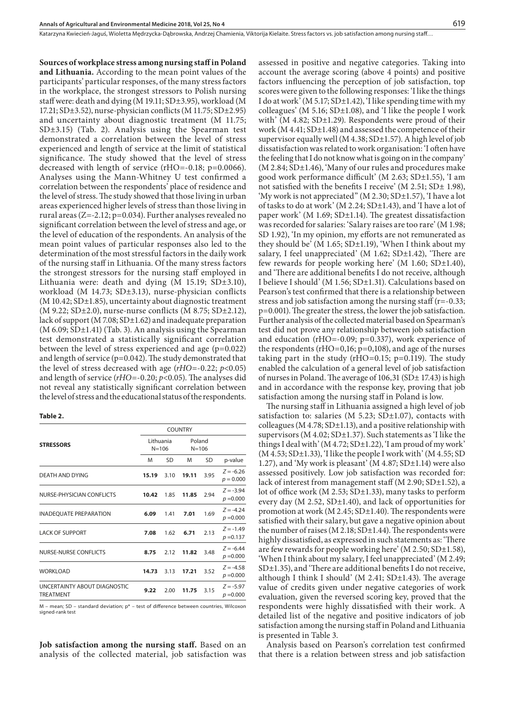**Sources of workplace stress among nursing staff in Poland** 

Katarzyna Kwiecień-Jaguś, Wioletta Medrzycka-Dabrowska, Andrzej Chamienia, Viktorija Kielaite. Stress factors vs. job satisfaction among nursing staff...

**and Lithuania.** According to the mean point values of the participants' particular responses, of the many stress factors in the workplace, the strongest stressors to Polish nursing staff were: death and dying (M 19.11; SD±3.95), workload (M 17.21; SD±3.52), nurse-physician conflicts (M 11.75; SD±2.95) and uncertainty about diagnostic treatment (M 11.75; SD±3.15) (Tab. 2). Analysis using the Spearman test demonstrated a correlation between the level of stress experienced and length of service at the limit of statistical significance. The study showed that the level of stress decreased with length of service (rHO=-0.18; p=0.0066). Analyses using the Mann-Whitney U test confirmed a correlation between the respondents' place of residence and the level of stress. The study showed that those living in urban areas experienced higher levels of stress than those living in rural areas (Z=-2.12; p=0.034). Further analyses revealed no significant correlation between the level of stress and age, or the level of education of the respondents. An analysis of the mean point values of particular responses also led to the determination of the most stressful factors in the daily work of the nursing staff in Lithuania. Of the many stress factors the strongest stressors for the nursing staff employed in Lithuania were: death and dying (M 15.19; SD±3.10), workload (M 14.73; SD±3.13), nurse-physician conflicts (M 10.42; SD±1.85), uncertainty about diagnostic treatment (M 9.22; SD±2.0), nurse-nurse conflicts (M 8.75; SD±2.12), lack of support (M 7.08; SD±1.62) and inadequate preparation  $(M 6.09; SD<sub>±</sub>1.41)$  (Tab. 3). An analysis using the Spearman test demonstrated a statistically significant correlation between the level of stress experienced and age (p=0.022) and length of service (p=0.042). The study demonstrated that the level of stress decreased with age (*rHO*=-0.22; *p*<0.05) and length of service (*rHO*=-0.20; *p*<0.05). The analyses did not reveal any statistically significant correlation between the level of stress and the educational status of the respondents.

#### **Table 2.**

|                                                  | <b>COUNTRY</b>         |      |                     |      |                            |
|--------------------------------------------------|------------------------|------|---------------------|------|----------------------------|
| <b>STRESSORS</b>                                 | Lithuania<br>$N = 106$ |      | Poland<br>$N = 106$ |      |                            |
|                                                  | M                      | SD   | M                   | SD   | p-value                    |
| DEATH AND DYING                                  | 15.19                  | 3.10 | 19.11               | 3.95 | $Z = -6.26$<br>$p = 0.000$ |
| NURSE-PHYSICIAN CONFLICTS                        | 10.42                  | 1.85 | 11.85               | 2.94 | $Z = -3.94$<br>$p = 0.000$ |
| <b>INADEQUATE PREPARATION</b>                    | 6.09                   | 1.41 | 7.01                | 1.69 | $Z = -4.24$<br>$p = 0.000$ |
| <b>LACK OF SUPPORT</b>                           | 7.08                   | 1.62 | 6.71                | 2.13 | $Z = -1.49$<br>$p = 0.137$ |
| NURSE-NURSE CONFLICTS                            | 8.75                   | 2.12 | 11.82               | 3.48 | $Z = -6.44$<br>$p = 0.000$ |
| <b>WORKLOAD</b>                                  | 14.73                  | 3.13 | 17.21               | 3.52 | $Z = -4.58$<br>$p = 0.000$ |
| UNCERTAINTY ABOUT DIAGNOSTIC<br><b>TREATMENT</b> | 9.22                   | 2.00 | 11.75               | 3.15 | $Z = -5.97$<br>$p = 0.000$ |

M – mean; SD – standard deviation; p\* – test of difference between countries, Wilcoxon signed-rank test

**Job satisfaction among the nursing staff.** Based on an analysis of the collected material, job satisfaction was assessed in positive and negative categories. Taking into account the average scoring (above 4 points) and positive factors influencing the perception of job satisfaction, top scores were given to the following responses: 'I like the things I do at work' (M 5.17; SD±1.42), 'I like spending time with my colleagues' (M 5.16; SD±1.08), and 'I like the people I work with' (M 4.82;  $SD<sub>±</sub>1.29$ ). Respondents were proud of their work (M 4.41; SD±1.48) and assessed the competence of their supervisor equally well (M 4.38;  $SD±1.57$ ). A high level of job dissatisfaction was related to work organisation: 'I often have the feeling that I do not know what is going on in the company'  $(M 2.84; SD<sub>±</sub>1.46)$ , 'Many of our rules and procedures make good work performance difficult' (M 2.63; SD±1.55), 'I am not satisfied with the benefits I receive' (M 2.51;  $SD \pm 1.98$ ), 'My work is not appreciated" (M 2.30; SD±1.57), 'I have a lot of tasks to do at work' (M 2.24; SD±1.43), and 'I have a lot of paper work' (M 1.69; SD±1.14). The greatest dissatisfaction was recorded for salaries: 'Salary raises are too rare' (M 1.98; SD 1.92), 'In my opinion, my efforts are not remunerated as they should be' (M 1.65;  $SD±1.19$ ), 'When I think about my salary, I feel unappreciated' (M  $1.62$ ; SD $\pm$ 1.42), 'There are few rewards for people working here' (M  $1.60$ ; SD $\pm$ 1.40), and 'There are additional benefits I do not receive, although I believe I should' (M 1.56; SD±1.31). Calculations based on Pearson's test confirmed that there is a relationship between stress and job satisfaction among the nursing staff (r=-0.33; p=0.001). The greater the stress, the lower the job satisfaction. Further analysis of the collected material based on Spearman's test did not prove any relationship between job satisfaction and education (rHO=-0.09; p=0.337), work experience of the respondents ( $rHO=0,16$ ;  $p=0,108$ ), and age of the nurses taking part in the study ( $rHO=0.15$ ;  $p=0.119$ ). The study enabled the calculation of a general level of job satisfaction of nurses in Poland. The average of 106,31 (SD± 17.43) is high and in accordance with the response key, proving that job satisfaction among the nursing staff in Poland is low.

The nursing staff in Lithuania assigned a high level of job satisfaction to: salaries (M  $5.23$ ; SD $\pm$ 1.07), contacts with colleagues ( $M$  4.78; SD $\pm$ 1.13), and a positive relationship with supervisors (M 4.02; SD±1.37). Such statements as 'I like the things I deal with' (M  $4.72$ ; SD $\pm$ 1.22), 'I am proud of my work' (M 4.53; SD±1.33), 'I like the people I work with' (M 4.55; SD 1.27), and 'My work is pleasant' (M 4.87; SD±1.14) were also assessed positively. Low job satisfaction was recorded for: lack of interest from management staff (M 2.90; SD $\pm$ 1.52), a lot of office work (M 2.53; SD±1.33), many tasks to perform every day (M 2.52, SD±1.40), and lack of opportunities for promotion at work (M 2.45; SD±1.40). The respondents were satisfied with their salary, but gave a negative opinion about the number of raises (M 2.18; SD±1.44). The respondents were highly dissatisfied, as expressed in such statements as: 'There are few rewards for people working here' (M 2.50; SD±1.58), 'When I think about my salary, I feel unappreciated' (M 2.49; SD±1.35), and 'There are additional benefits I do not receive, although I think I should' (M 2.41; SD±1.43). The average value of credits given under negative categories of work evaluation, given the reversed scoring key, proved that the respondents were highly dissatisfied with their work. A detailed list of the negative and positive indicators of job satisfaction among the nursing staff in Poland and Lithuania is presented in Table 3.

Analysis based on Pearson's correlation test confirmed that there is a relation between stress and job satisfaction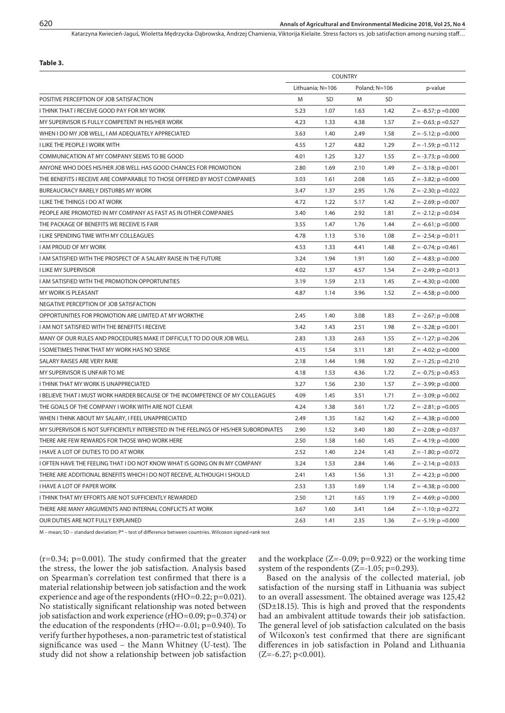Katarzyna Kwiecień-Jaguś, Wioletta Mędrzycka-Dąbrowska, Andrzej Chamienia, Viktorija Kielaite. Stress factors vs. job satisfaction among nursing staff...

|  | v.<br>۰.<br>٠<br>$\sim$ |
|--|-------------------------|
|--|-------------------------|

|                                                                                      | <b>COUNTRY</b> |                  |      |               |                           |
|--------------------------------------------------------------------------------------|----------------|------------------|------|---------------|---------------------------|
|                                                                                      |                | Lithuania; N=106 |      | Poland; N=106 | p-value                   |
| POSITIVE PERCEPTION OF JOB SATISFACTION                                              | M              | SD               | M    | SD            |                           |
| I THINK THAT I RECEIVE GOOD PAY FOR MY WORK                                          | 5.23           | 1.07             | 1.63 | 1.42          | $Z = -8.57$ ; p = 0.000   |
| MY SUPERVISOR IS FULLY COMPETENT IN HIS/HER WORK                                     | 4.23           | 1.33             | 4.38 | 1.57          | $Z = -0.63$ ; p = 0.527   |
| WHEN I DO MY JOB WELL, I AM ADEQUATELY APPRECIATED                                   | 3.63           | 1.40             | 2.49 | 1.58          | $Z = -5.12$ ; p = 0.000   |
| I LIKE THE PEOPLE I WORK WITH                                                        | 4.55           | 1.27             | 4.82 | 1.29          | $Z = -1.59$ ; p = 0.112   |
| COMMUNICATION AT MY COMPANY SEEMS TO BE GOOD                                         | 4.01           | 1.25             | 3.27 | 1.55          | $Z = -3.73$ ; p = 0.000   |
| ANYONE WHO DOES HIS/HER JOB WELL HAS GOOD CHANCES FOR PROMOTION                      | 2.80           | 1.69             | 2.10 | 1.49          | $Z = -3.18$ ; $p = 0.001$ |
| THE BENEFITS I RECEIVE ARE COMPARABLE TO THOSE OFFERED BY MOST COMPANIES             | 3.03           | 1.61             | 2.08 | 1.65          | $Z = -3.82$ ; $p = 0.000$ |
| <b>BUREAUCRACY RARELY DISTURBS MY WORK</b>                                           | 3.47           | 1.37             | 2.95 | 1.76          | $Z = -2.30; p = 0.022$    |
| I LIKE THE THINGS I DO AT WORK                                                       | 4.72           | 1.22             | 5.17 | 1.42          | $Z = -2.69$ ; p = 0.007   |
| PEOPLE ARE PROMOTED IN MY COMPANY AS FAST AS IN OTHER COMPANIES                      | 3.40           | 1.46             | 2.92 | 1.81          | $Z = -2.12$ ; $p = 0.034$ |
| THE PACKAGE OF BENEFITS WE RECEIVE IS FAIR                                           | 3.55           | 1.47             | 1.76 | 1.44          | $Z = -6.61$ ; $p = 0.000$ |
| I LIKE SPENDING TIME WITH MY COLLEAGUES                                              | 4.78           | 1.13             | 5.16 | 1.08          | $Z = -2.54$ ; $p = 0.011$ |
| I AM PROUD OF MY WORK                                                                | 4.53           | 1.33             | 4.41 | 1.48          | $Z = -0.74$ ; p = 0.461   |
| I AM SATISFIED WITH THE PROSPECT OF A SALARY RAISE IN THE FUTURE                     | 3.24           | 1.94             | 1.91 | 1.60          | $Z = -4.83$ ; p = 0.000   |
| I LIKE MY SUPERVISOR                                                                 | 4.02           | 1.37             | 4.57 | 1.54          | $Z = -2.49$ ; p = 0.013   |
| I AM SATISFIED WITH THE PROMOTION OPPORTUNITIES                                      | 3.19           | 1.59             | 2.13 | 1.45          | $Z = -4.30$ ; p = 0.000   |
| MY WORK IS PLEASANT                                                                  | 4.87           | 1.14             | 3.96 | 1.52          | $Z = -4.58$ ; p = 0.000   |
| NEGATIVE PERCEPTION OF JOB SATISFACTION                                              |                |                  |      |               |                           |
| OPPORTUNITIES FOR PROMOTION ARE LIMITED AT MY WORKTHE                                | 2.45           | 1.40             | 3.08 | 1.83          | $Z = -2.67$ ; p = 0.008   |
| I AM NOT SATISFIED WITH THE BENEFITS I RECEIVE                                       | 3.42           | 1.43             | 2.51 | 1.98          | $Z = -3.28$ ; p = 0.001   |
| MANY OF OUR RULES AND PROCEDURES MAKE IT DIFFICULT TO DO OUR JOB WELL                | 2.83           | 1.33             | 2.63 | 1.55          | $Z = -1.27$ ; p = 0.206   |
| I SOMETIMES THINK THAT MY WORK HAS NO SENSE                                          | 4.15           | 1.54             | 3.11 | 1.81          | $Z = -4.02$ ; $p = 0.000$ |
| SALARY RAISES ARE VERY RARE                                                          | 2.18           | 1.44             | 1.98 | 1.92          | $Z = -1.25$ ; p = 0.210   |
| MY SUPERVISOR IS UNFAIR TO ME                                                        | 4.18           | 1.53             | 4.36 | 1.72          | $Z = -0.75$ ; p = 0.453   |
| I THINK THAT MY WORK IS UNAPPRECIATED                                                | 3.27           | 1.56             | 2.30 | 1.57          | $Z = -3.99$ ; p = 0.000   |
| I BELIEVE THAT I MUST WORK HARDER BECAUSE OF THE INCOMPETENCE OF MY COLLEAGUES       | 4.09           | 1.45             | 3.51 | 1.71          | $Z = -3.09$ ; p = 0.002   |
| THE GOALS OF THE COMPANY I WORK WITH ARE NOT CLEAR                                   | 4.24           | 1.38             | 3.61 | 1.72          | $Z = -2.81$ ; p = 0.005   |
| WHEN I THINK ABOUT MY SALARY, I FEEL UNAPPRECIATED                                   | 2.49           | 1.35             | 1.62 | 1.42          | $Z = -4.38$ ; p = 0.000   |
| MY SUPERVISOR IS NOT SUFFICIENTLY INTERESTED IN THE FEELINGS OF HIS/HER SUBORDINATES | 2.90           | 1.52             | 3.40 | 1.80          | $Z = -2.08$ ; p = 0.037   |
| THERE ARE FEW REWARDS FOR THOSE WHO WORK HERE                                        | 2.50           | 1.58             | 1.60 | 1.45          | $Z = -4.19$ ; $p = 0.000$ |
| I HAVE A LOT OF DUTIES TO DO AT WORK                                                 | 2.52           | 1.40             | 2.24 | 1.43          | $Z = -1.80$ ; p = 0.072   |
| I OFTEN HAVE THE FEELING THAT I DO NOT KNOW WHAT IS GOING ON IN MY COMPANY           | 3.24           | 1.53             | 2.84 | 1.46          | $Z = -2.14$ ; p = 0.033   |
| THERE ARE ADDITIONAL BENEFITS WHICH I DO NOT RECEIVE, ALTHOUGH I SHOULD              | 2.41           | 1.43             | 1.56 | 1.31          | $Z = -4.23$ ; $p = 0.000$ |
| I HAVE A LOT OF PAPER WORK                                                           | 2.53           | 1.33             | 1.69 | 1.14          | $Z = -4.38$ ; $p = 0.000$ |
| I THINK THAT MY EFFORTS ARE NOT SUFFICIENTLY REWARDED                                | 2.50           | 1.21             | 1.65 | 1.19          | $Z = -4.69$ ; p = 0.000   |
| THERE ARE MANY ARGUMENTS AND INTERNAL CONFLICTS AT WORK                              | 3.67           | 1.60             | 3.41 | 1.64          | $Z = -1.10$ ; $p = 0.272$ |
| OUR DUTIES ARE NOT FULLY EXPLAINED                                                   | 2.63           | 1.41             | 2.35 | 1.36          | $Z = -5.19$ ; p = 0.000   |

M – mean; SD – standard deviation; P\* – test of difference between countries. Wilcoxon signed-rank test

(r=0.34; p=0.001). The study confirmed that the greater the stress, the lower the job satisfaction. Analysis based on Spearman's correlation test confirmed that there is a material relationship between job satisfaction and the work experience and age of the respondents (rHO=0.22; p=0.021). No statistically significant relationship was noted between job satisfaction and work experience (rHO=0.09; p=0.374) or the education of the respondents (rHO=-0.01; p=0.940). To verify further hypotheses, a non-parametric test of statistical significance was used – the Mann Whitney (U-test). The study did not show a relationship between job satisfaction and the workplace  $(Z=-0.09; p=0.922)$  or the working time system of the respondents ( $Z = -1.05$ ; p=0.293).

Based on the analysis of the collected material, job satisfaction of the nursing staff in Lithuania was subject to an overall assessment. The obtained average was 125,42 (SD±18.15). This is high and proved that the respondents had an ambivalent attitude towards their job satisfaction. The general level of job satisfaction calculated on the basis of Wilcoxon's test confirmed that there are significant differences in job satisfaction in Poland and Lithuania  $(Z=-6.27; p<0.001)$ .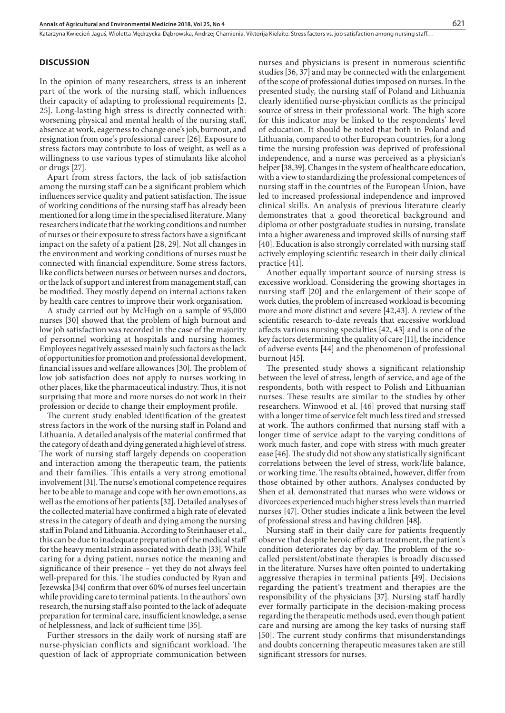## **DISCUSSION**

In the opinion of many researchers, stress is an inherent part of the work of the nursing staff, which influences their capacity of adapting to professional requirements [2, 25]. Long-lasting high stress is directly connected with: worsening physical and mental health of the nursing staff, absence at work, eagerness to change one's job, burnout, and resignation from one's professional career [26]. Exposure to stress factors may contribute to loss of weight, as well as a willingness to use various types of stimulants like alcohol or drugs [27].

Apart from stress factors, the lack of job satisfaction among the nursing staff can be a significant problem which influences service quality and patient satisfaction. The issue of working conditions of the nursing staff has already been mentioned for a long time in the specialised literature. Many researchers indicate that the working conditions and number of nurses or their exposure to stress factors have a significant impact on the safety of a patient [28, 29]. Not all changes in the environment and working conditions of nurses must be connected with financial expenditure. Some stress factors, like conflicts between nurses or between nurses and doctors, or the lack of support and interest from management staff, can be modified. They mostly depend on internal actions taken by health care centres to improve their work organisation.

A study carried out by McHugh on a sample of 95,000 nurses [30] showed that the problem of high burnout and low job satisfaction was recorded in the case of the majority of personnel working at hospitals and nursing homes. Employees negatively assessed mainly such factors as the lack of opportunities for promotion and professional development, financial issues and welfare allowances [30]. The problem of low job satisfaction does not apply to nurses working in other places, like the pharmaceutical industry. Thus, it is not surprising that more and more nurses do not work in their profession or decide to change their employment profile.

The current study enabled identification of the greatest stress factors in the work of the nursing staff in Poland and Lithuania. A detailed analysis of the material confirmed that the category of death and dying generated a high level of stress. The work of nursing staff largely depends on cooperation and interaction among the therapeutic team, the patients and their families. This entails a very strong emotional involvement [31]. The nurse's emotional competence requires her to be able to manage and cope with her own emotions, as well as the emotions of her patients [32]. Detailed analyses of the collected material have confirmed a high rate of elevated stress in the category of death and dying among the nursing staff in Poland and Lithuania. According to Steinhauser et al., this can be due to inadequate preparation of the medical staff for the heavy mental strain associated with death [33]. While caring for a dying patient, nurses notice the meaning and significance of their presence – yet they do not always feel well-prepared for this. The studies conducted by Ryan and Jezewska [34] confirm that over 60% of nurses feel uncertain while providing care to terminal patients. In the authors' own research, the nursing staff also pointed to the lack of adequate preparation for terminal care, insufficient knowledge, a sense of helplessness, and lack of sufficient time [35].

Further stressors in the daily work of nursing staff are nurse-physician conflicts and significant workload. The question of lack of appropriate communication between nurses and physicians is present in numerous scientific studies [36, 37] and may be connected with the enlargement of the scope of professional duties imposed on nurses. In the presented study, the nursing staff of Poland and Lithuania clearly identified nurse-physician conflicts as the principal source of stress in their professional work. The high score for this indicator may be linked to the respondents' level of education. It should be noted that both in Poland and Lithuania, compared to other European countries, for a long time the nursing profession was deprived of professional independence, and a nurse was perceived as a physician's helper [38,39]. Changes in the system of healthcare education, with a view to standardizing the professional competences of nursing staff in the countries of the European Union, have led to increased professional independence and improved clinical skills. An analysis of previous literature clearly demonstrates that a good theoretical background and diploma or other postgraduate studies in nursing, translate into a higher awareness and improved skills of nursing staff [40]. Education is also strongly correlated with nursing staff actively employing scientific research in their daily clinical practice [41].

Another equally important source of nursing stress is excessive workload. Considering the growing shortages in nursing staff [20] and the enlargement of their scope of work duties, the problem of increased workload is becoming more and more distinct and severe [42,43]. A review of the scientific research to-date reveals that excessive workload affects various nursing specialties [42, 43] and is one of the key factors determining the quality of care [11], the incidence of adverse events [44] and the phenomenon of professional burnout [45].

The presented study shows a significant relationship between the level of stress, length of service, and age of the respondents, both with respect to Polish and Lithuanian nurses. These results are similar to the studies by other researchers. Winwood et al. [46] proved that nursing staff with a longer time of service felt much less tired and stressed at work. The authors confirmed that nursing staff with a longer time of service adapt to the varying conditions of work much faster, and cope with stress with much greater ease [46]. The study did not show any statistically significant correlations between the level of stress, work/life balance, or working time. The results obtained, however, differ from those obtained by other authors. Analyses conducted by Shen et al. demonstrated that nurses who were widows or divorcees experienced much higher stress levels than married nurses [47]. Other studies indicate a link between the level of professional stress and having children [48].

Nursing staff in their daily care for patients frequently observe that despite heroic efforts at treatment, the patient's condition deteriorates day by day. The problem of the socalled persistent/obstinate therapies is broadly discussed in the literature. Nurses have often pointed to undertaking aggressive therapies in terminal patients [49]. Decisions regarding the patient's treatment and therapies are the responsibility of the physicians [37]. Nursing staff hardly ever formally participate in the decision-making process regarding the therapeutic methods used, even though patient care and nursing are among the key tasks of nursing staff [50]. The current study confirms that misunderstandings and doubts concerning therapeutic measures taken are still significant stressors for nurses.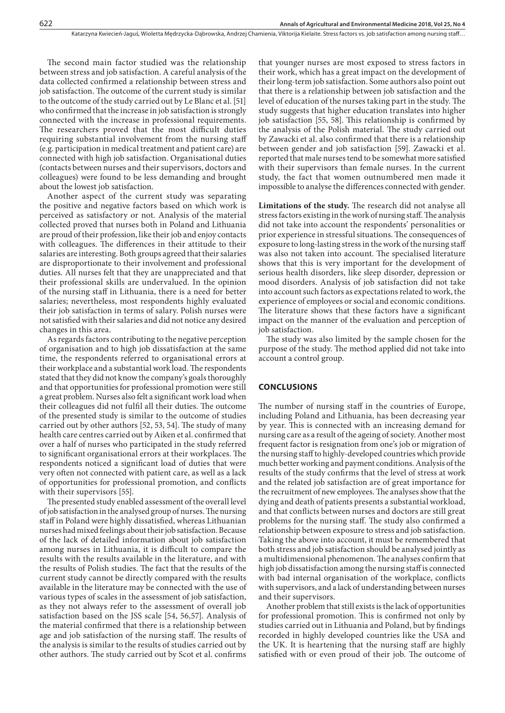The second main factor studied was the relationship between stress and job satisfaction. A careful analysis of the data collected confirmed a relationship between stress and job satisfaction. The outcome of the current study is similar to the outcome of the study carried out by Le Blanc et al. [51] who confirmed that the increase in job satisfaction is strongly connected with the increase in professional requirements. The researchers proved that the most difficult duties requiring substantial involvement from the nursing staff (e.g. participation in medical treatment and patient care) are connected with high job satisfaction. Organisational duties (contacts between nurses and their supervisors, doctors and colleagues) were found to be less demanding and brought about the lowest job satisfaction.

Another aspect of the current study was separating the positive and negative factors based on which work is perceived as satisfactory or not. Analysis of the material collected proved that nurses both in Poland and Lithuania are proud of their profession, like their job and enjoy contacts with colleagues. The differences in their attitude to their salaries are interesting. Both groups agreed that their salaries are disproportionate to their involvement and professional duties. All nurses felt that they are unappreciated and that their professional skills are undervalued. In the opinion of the nursing staff in Lithuania, there is a need for better salaries; nevertheless, most respondents highly evaluated their job satisfaction in terms of salary. Polish nurses were not satisfied with their salaries and did not notice any desired changes in this area.

As regards factors contributing to the negative perception of organisation and to high job dissatisfaction at the same time, the respondents referred to organisational errors at their workplace and a substantial work load. The respondents stated that they did not know the company's goals thoroughly and that opportunities for professional promotion were still a great problem. Nurses also felt a significant work load when their colleagues did not fulfil all their duties. The outcome of the presented study is similar to the outcome of studies carried out by other authors [52, 53, 54]. The study of many health care centres carried out by Aiken et al. confirmed that over a half of nurses who participated in the study referred to significant organisational errors at their workplaces. The respondents noticed a significant load of duties that were very often not connected with patient care, as well as a lack of opportunities for professional promotion, and conflicts with their supervisors [55].

The presented study enabled assessment of the overall level of job satisfaction in the analysed group of nurses. The nursing staff in Poland were highly dissatisfied, whereas Lithuanian nurses had mixed feelings about their job satisfaction. Because of the lack of detailed information about job satisfaction among nurses in Lithuania, it is difficult to compare the results with the results available in the literature, and with the results of Polish studies. The fact that the results of the current study cannot be directly compared with the results available in the literature may be connected with the use of various types of scales in the assessment of job satisfaction, as they not always refer to the assessment of overall job satisfaction based on the JSS scale [54, 56,57]. Analysis of the material confirmed that there is a relationship between age and job satisfaction of the nursing staff. The results of the analysis is similar to the results of studies carried out by other authors. The study carried out by Scot et al. confirms

that younger nurses are most exposed to stress factors in their work, which has a great impact on the development of their long-term job satisfaction. Some authors also point out that there is a relationship between job satisfaction and the level of education of the nurses taking part in the study. The study suggests that higher education translates into higher job satisfaction [55, 58]. This relationship is confirmed by the analysis of the Polish material. The study carried out by Zawacki et al. also confirmed that there is a relationship between gender and job satisfaction [59]. Zawacki et al. reported that male nurses tend to be somewhat more satisfied with their supervisors than female nurses. In the current study, the fact that women outnumbered men made it impossible to analyse the differences connected with gender.

**Limitations of the study.** The research did not analyse all stress factors existing in the work of nursing staff. The analysis did not take into account the respondents' personalities or prior experience in stressful situations. The consequences of exposure to long-lasting stress in the work of the nursing staff was also not taken into account. The specialised literature shows that this is very important for the development of serious health disorders, like sleep disorder, depression or mood disorders. Analysis of job satisfaction did not take into account such factors as expectations related to work, the experience of employees or social and economic conditions. The literature shows that these factors have a significant impact on the manner of the evaluation and perception of job satisfaction.

The study was also limited by the sample chosen for the purpose of the study. The method applied did not take into account a control group.

#### **CONCLUSIONS**

The number of nursing staff in the countries of Europe, including Poland and Lithuania, has been decreasing year by year. This is connected with an increasing demand for nursing care as a result of the ageing of society. Another most frequent factor is resignation from one's job or migration of the nursing staff to highly-developed countries which provide much better working and payment conditions. Analysis of the results of the study confirms that the level of stress at work and the related job satisfaction are of great importance for the recruitment of new employees. The analyses show that the dying and death of patients presents a substantial workload, and that conflicts between nurses and doctors are still great problems for the nursing staff. The study also confirmed a relationship between exposure to stress and job satisfaction. Taking the above into account, it must be remembered that both stress and job satisfaction should be analysed jointly as a multidimensional phenomenon. The analyses confirm that high job dissatisfaction among the nursing staff is connected with bad internal organisation of the workplace, conflicts with supervisors, and a lack of understanding between nurses and their supervisors.

Another problem that still exists is the lack of opportunities for professional promotion. This is confirmed not only by studies carried out in Lithuania and Poland, but by findings recorded in highly developed countries like the USA and the UK. It is heartening that the nursing staff are highly satisfied with or even proud of their job. The outcome of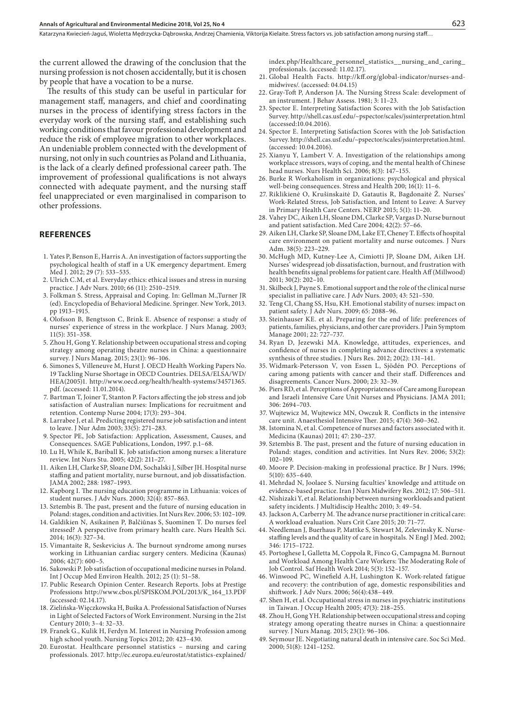Katarzyna Kwiecień-Jaguś, Wioletta Medrzycka-Dabrowska, Andrzej Chamienia, Viktorija Kielaite. Stress factors vs. job satisfaction among nursing staff...

the current allowed the drawing of the conclusion that the nursing profession is not chosen accidentally, but it is chosen by people that have a vocation to be a nurse.

The results of this study can be useful in particular for management staff, managers, and chief and coordinating nurses in the process of identifying stress factors in the everyday work of the nursing staff, and establishing such working conditions that favour professional development and reduce the risk of employee migration to other workplaces. An undeniable problem connected with the development of nursing, not only in such countries as Poland and Lithuania, is the lack of a clearly defined professional career path. The improvement of professional qualifications is not always connected with adequate payment, and the nursing staff feel unappreciated or even marginalised in comparison to other professions.

#### **REFERENCES**

- 1. Yates P, Benson E, Harris A. An investigation of factors supporting the psychological health of staff in a UK emergency department. Emerg Med J. 2012; 29 (7): 533–535.
- 2. Ulrich C.M, et al. Everyday ethics: ethical issues and stress in nursing practice. J Adv Nurs. 2010; 66 (11): 2510–2519.
- 3. Folkman S. Stress, Appraisal and Coping. In: Gellman M.,Turner JR (ed). Encyclopedia of Behavioral Medicine. Springer. New York, 2013. pp 1913–1915.
- 4. Olofsson B, Bengtsson C, Brink E. Absence of response: a study of nurses' experience of stress in the workplace. J Nurs Manag. 2003; 11(5): 351–358.
- 5. Zhou H, Gong Y. Relationship between occupational stress and coping strategy among operating theatre nurses in China: a questionnaire survey. J Nurs Manag. 2015; 23(1): 96–106.
- 6. Simones S, Villeneuve M, Hurst J. OECD Health Working Papers No. 19 Tackling Nurse Shortage in OECD Countries. DELSA/ELSA/WD/ HEA(2005)1. http://www.oecd.org/health/health-systems/34571365. pdf. (accessed: 11.01.2014).
- 7. Bartman T, Joiner T, Stanton P. Factors affecting the job stress and job satisfaction of Australian nurses: Implications for recruitment and retention. Contemp Nurse 2004; 17(3): 293–304.
- 8. Larrabee J, et al. Predicting registered nurse job satisfaction and intent to leave. J Nur Adm 2003; 33(5): 271–283.
- 9. Spector PE, Job Satisfaction: Application, Assessment, Causes, and Consequences. SAGE Publications, London, 1997. p.1–68.
- 10. Lu H, While K, Bariball K. Job satisfaction among nurses: a literature review. Int Nurs Stu. 2005; 42(2): 211–27.
- 11. Aiken LH*,* Clarke SP*,* Sloane DM*,* Sochalski J, Silber JH. Hospital nurse staffing and patient mortality, nurse burnout, and job dissatisfaction*.*  JAMA 2002; 288*:* 1987*–*1993*.*
- 12. Kapborg I. The nursing education programme in Lithuania: voices of student nurses. J Adv Nurs. 2000; 32(4): 857–863.
- 13. Sztembis B. The past, present and the future of nursing education in Poland: stages, condition and activities. Int Nurs Rev. 2006; 53: 102–109.
- 14. [Galdikien N,](http://www.ncbi.nlm.nih.gov/pubmed/?term=Galdikien N%5BAuthor%5D&cauthor=true&cauthor_uid=25389543) [Asikainen P](http://www.ncbi.nlm.nih.gov/pubmed/?term=Asikainen P%5BAuthor%5D&cauthor=true&cauthor_uid=25389543), Balčiūnas S, [Suominen T](http://www.ncbi.nlm.nih.gov/pubmed/?term=Suominen T%5BAuthor%5D&cauthor=true&cauthor_uid=25389543). Do nurses feel stressed? A perspective from primary health care. Nurs Health Sci. 2014; 16(3): 327–34.
- 15. [Vimantaite R](http://www.ncbi.nlm.nih.gov/pubmed/?term=Vimantaite R%5BAuthor%5D&cauthor=true&cauthor_uid=16861844), [Seskevicius A.](http://www.ncbi.nlm.nih.gov/pubmed/?term=Seskevicius A%5BAuthor%5D&cauthor=true&cauthor_uid=16861844) The burnout syndrome among nurses working in Lithuanian cardiac surgery centers. Medicina (Kaunas) 2006; 42(7): 600–5.
- 16. Sakowski P. Job satisfaction of occupational medicine nurses in Poland. Int J Occup Med Environ Health. 2012; 25 (1): 51–58.
- 17. Public Research Opinion Center. Research Reports. Jobs at Prestige Professions http://www.cbos.pl/SPISKOM.POL/2013/K\_164\_13.PDF (accessed: 02.14.17).
- 18. Zielińska-Więczkowska H, Buśka A. Professional Satisfaction of Nurses in Light of Selected Factors of Work Environment. Nursing in the 21st Century 2010; 3–4: 32–33.
- 19. Franek G., Kulik H, Ferdyn M. Interest in Nursing Profession among high school youth. Nursing Topics 2012; 20: 423–430.
- 20. Eurostat. Healthcare personnel statistics nursing and caring professionals. 2017. http://ec.europa.eu/eurostat/statistics-explained/

index.php/Healthcare\_personnel\_statistics\_\_nursing\_and\_caring\_ professionals. (accessed: 11.02.17).

- 21. Global Health Facts. http://kff.org/global-indicator/nurses-andmidwives/. (accessed: 04.04.15)
- 22. Gray-Toft P, Anderson JA. The Nursing Stress Scale: development of an instrument. J Behav Assess. 1981; 3: 11–23.
- 23. Spector E. Interpreting Satisfaction Scores with the Job Satisfaction Survey.<http://shell.cas.usf.edu/~pspector/scales/jssinterpretation.html> (accessed:10.04.2016).
- 24. Spector E. Interpreting Satisfaction Scores with the Job Satisfaction Survey. [http://shell.cas.usf.edu/~pspector/scales/jssinterpretation.html.](http://shell.cas.usf.edu/~pspector/scales/jssinterpretation.html) (accessed: 10.04.2016).
- 25. Xianyu Y, Lambert V. A. Investigation of the relationships among workplace stressors, ways of coping, and the mental health of Chinese head nurses. Nurs Health Sci. 2006; 8(3): 147–155.
- 26. Burke R Workaholism in organizations: psychological and physical well-being consequences. Stress and Health 200; 16(1): 11–6.
- 27. Riklikienė O, Krušinskaitė D, Gatautis R, Bagdonaitė Ž. Nurses' Work-Related Stress, Job Satisfaction, and Intent to Leave: A Survey in Primary Health Care Centers. NERP 2015; 5(1): 11–20.
- 28. Vahey DC, Aiken LH, Sloane DM, Clarke SP, Vargas D. Nurse burnout and patient satisfaction. Med Care 2004; 42(2): 57–66.
- 29. Aiken LH, Clarke SP, Sloane DM, Lake ET, Cheney T. Effects of hospital care environment on patient mortality and nurse outcomes. J Nurs Adm. 38(5): 223–229.
- 30. McHugh MD, [Kutney-Lee A](https://www.ncbi.nlm.nih.gov/pubmed/?term=Kutney-Lee A%5BAuthor%5D&cauthor=true&cauthor_uid=21289340), [Cimiotti JP,](https://www.ncbi.nlm.nih.gov/pubmed/?term=Cimiotti JP%5BAuthor%5D&cauthor=true&cauthor_uid=21289340) [Sloane DM,](https://www.ncbi.nlm.nih.gov/pubmed/?term=Sloane DM%5BAuthor%5D&cauthor=true&cauthor_uid=21289340) Aiken LH. Nurses' widespread job dissatisfaction, burnout, and frustration with health benefits signal problems for patient care. Health Aff (Millwood) 2011; 30(2): 202–10.
- 31. Skilbeck J, Payne S. Emotional support and the role of the clinical nurse specialist in palliative care. J Adv Nurs. 2003; 43: 521–530.
- 32. [Teng CI](https://www.ncbi.nlm.nih.gov/pubmed/?term=Teng CI%5BAuthor%5D&cauthor=true&cauthor_uid=19674173), [Chang SS](https://www.ncbi.nlm.nih.gov/pubmed/?term=Chang SS%5BAuthor%5D&cauthor=true&cauthor_uid=19674173), [Hsu, KH](https://www.ncbi.nlm.nih.gov/pubmed/?term=Hsu KH%5BAuthor%5D&cauthor=true&cauthor_uid=19674173). Emotional stability of nurses: impact on patient safety. J Adv Nurs. 2009; 65: 2088–96.
- 33. [Steinhauser KE](https://www.ncbi.nlm.nih.gov/pubmed/?term=Steinhauser KE%5BAuthor%5D&cauthor=true&cauthor_uid=11532586). et al. Preparing for the end of life: preferences of patients, families, physicians, and other care providers. J Pain Symptom Manage 2001; 22: 727–737.
- 34. [Ryan D](https://www.ncbi.nlm.nih.gov/pubmed/?term=Ryan D%5BAuthor%5D&cauthor=true&cauthor_uid=22592108), [Jezewski MA](https://www.ncbi.nlm.nih.gov/pubmed/?term=Jezewski MA%5BAuthor%5D&cauthor=true&cauthor_uid=22592108). Knowledge, attitudes, experiences, and confidence of nurses in completing advance directives: a systematic synthesis of three studies. J Nurs Res. 2012; 20(2): 131–141.
- 35. [Widmark-Petersson V,](https://www.ncbi.nlm.nih.gov/pubmed/?term=Widmark-Petersson V%5BAuthor%5D&cauthor=true&cauthor_uid=10673805) [von Essen L,](https://www.ncbi.nlm.nih.gov/pubmed/?term=von Essen L%5BAuthor%5D&cauthor=true&cauthor_uid=10673805) [Sjödén PO.](https://www.ncbi.nlm.nih.gov/pubmed/?term=Sj%C3%B6d%C3%A9n PO%5BAuthor%5D&cauthor=true&cauthor_uid=10673805) Perceptions of caring among patients with cancer and their staff. Differences and disagreements. Cancer Nurs. 2000; 23: 32–39.
- 36. [Piers RD,](http://www.ncbi.nlm.nih.gov/pubmed/?term=Piers RD%5BAuthor%5D&cauthor=true&cauthor_uid=22203538) et al. Perceptions of Appropriateness of Care among European and Israeli Intensive Care Unit Nurses and Physicians. JAMA 2011; 306: 2694–703.
- 37. Wujtewicz M, Wujtewicz MN, Owczuk R. Conflicts in the intensive care unit. Anaesthesiol Intensive Ther. 2015; 47(4): 360–362.
- 38. Istomina N, et al. Competence of nurses and factors associated with it. Medicina (Kaunas) 2011; 47: 230–237.
- 39. Sztembis B. The past, present and the future of nursing education in Poland: stages, condition and activities. Int Nurs Rev. 2006; 53(2): 102–109.
- 40. Moore P. Decision-making in professional practice. Br J Nurs. 1996; 5(10): 635–640.
- 41. Mehrdad N, Joolaee S. Nursing faculties' knowledge and attitude on evidence-based practice. [Iran J Nurs Midwifery Res](https://www.ncbi.nlm.nih.gov/pmc/articles/PMC3730454/). 2012; 17: 506–511.
- 42. Nishizaki Y, et al. Relationship between nursing workloads and patient safety incidents. J Multidiscip Healthc 2010; 3: 49–54.
- 43. Jackson A, [Carberry M.](http://www.scopus.com/authid/detail.url?origin=resultslist&authorId=14119377800&zone=)[The advance nurse practitioner in critical care:](http://www.scopus.com/record/display.url?eid=2-s2.0-84923257033&origin=resultslist&sort=plf-f&src=s&st1=nursing+workload&nlo=&nlr=&nls=&sid=F9B6BDC297A8F0B0CB3869717CC14C38.FZg2ODcJC9ArCe8WOZPvA%3a20&sot=b&sdt=b&sl=31&s=TITLE-ABS-KEY%28nursing+workload%29&relpos=4&relpos=4&citeCnt=1&searchTerm=TITLE-ABS-KEY%28nursing+workload%29)  [A workload evaluation](http://www.scopus.com/record/display.url?eid=2-s2.0-84923257033&origin=resultslist&sort=plf-f&src=s&st1=nursing+workload&nlo=&nlr=&nls=&sid=F9B6BDC297A8F0B0CB3869717CC14C38.FZg2ODcJC9ArCe8WOZPvA%3a20&sot=b&sdt=b&sl=31&s=TITLE-ABS-KEY%28nursing+workload%29&relpos=4&relpos=4&citeCnt=1&searchTerm=TITLE-ABS-KEY%28nursing+workload%29). Nurs Crit Care 2015; 20: 71–77.
- 44. Needleman J*,* Buerhaus P*,* Mattke S*,* Stewart M*,* Zelevinsky K. Nursestaffing levels and the quality of care in hospitals*.* N Engl J Med. 2002; 346*:* 1715*–*1722*.*
- 45. Portoghese I, Galletta M, Coppola R, Finco G, Campagna M. Burnout and Workload Among Health Care Workers: The Moderating Role of Job Control. Saf Health Work 2014; 5(3): 152–157.
- 46. Winwood PC, Winefield A.H, Lushington K. Work-related fatigue and recovery: the contribution of age, domestic responsibilities and shiftwork. J Adv Nurs. 2006; 56(4):438–449.
- 47. Shen H, et al. Occupational stress in nurses in psychiatric institutions in Taiwan. J Occup Health 2005; 47(3): 218–255.
- 48. Zhou H, Gong YH. Relationship between occupational stress and coping strategy among operating theatre nurses in China: a questionnaire survey. J Nurs Manag. 2015; 23(1): 96–106.
- 49. Seymour JE. Negotiating natural death in intensive care. [Soc Sci Med.](https://www.ncbi.nlm.nih.gov/pubmed/11037214) 2000; 51(8): 1241–1252.